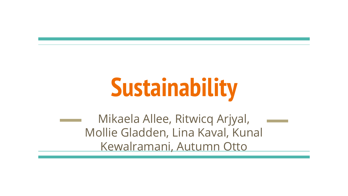# **Sustainability**

Mikaela Allee, Ritwicq Arjyal, Mollie Gladden, Lina Kaval, Kunal Kewalramani, Autumn Otto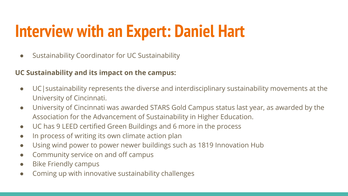# **Interview with an Expert: Daniel Hart**

● Sustainability Coordinator for UC Sustainability

#### **UC Sustainability and its impact on the campus:**

- UC|sustainability represents the diverse and interdisciplinary sustainability movements at the University of Cincinnati.
- University of Cincinnati was awarded STARS Gold Campus status last year, as awarded by the Association for the Advancement of Sustainability in Higher Education.
- UC has 9 LEED certified Green Buildings and 6 more in the process
- In process of writing its own climate action plan
- Using wind power to power newer buildings such as 1819 Innovation Hub
- Community service on and off campus
- Bike Friendly campus
- Coming up with innovative sustainability challenges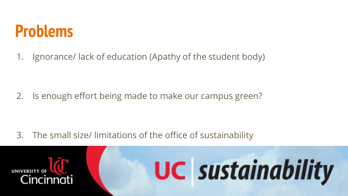### **Problems**

1. Ignorance/ lack of education (Apathy of the student body)

2. Is enough effort being made to make our campus green?

3. The small size/ limitations of the office of sustainability

**UC** sustainability

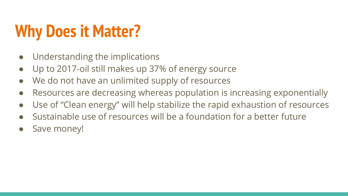# **Why Does it Matter?**

- Understanding the implications
- Up to 2017-oil still makes up 37% of energy source
- We do not have an unlimited supply of resources
- Resources are decreasing whereas population is increasing exponentially
- Use of "Clean energy" will help stabilize the rapid exhaustion of resources
- Sustainable use of resources will be a foundation for a better future
- Save money!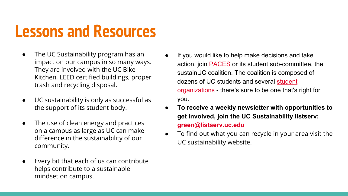### **Lessons and Resources**

- The UC Sustainability program has an impact on our campus in so many ways. They are involved with the UC Bike Kitchen, LEED certified buildings, proper trash and recycling disposal.
- UC sustainability is only as successful as the support of its student body.
- The use of clean energy and practices on a campus as large as UC can make difference in the sustainability of our community.
- Every bit that each of us can contribute helps contribute to a sustainable mindset on campus.
- If you would like to help make decisions and take action, join **PACES** or its student sub-committee, the sustainUC coalition. The coalition is composed of dozens of UC students and several [student](https://uc.edu/af/pdc/sustainability/get_involved/committees_organizations.html) [organizations](https://uc.edu/af/pdc/sustainability/get_involved/committees_organizations.html) - there's sure to be one that's right for you.
- **To receive a weekly newsletter with opportunities to get involved, join the UC Sustainability listserv: [green@listserv.uc.edu](https://listserv.uc.edu/scripts/wa.exe?SUBED1=green&A=1)**
- **●** To find out what you can recycle in your area visit the UC sustainability website.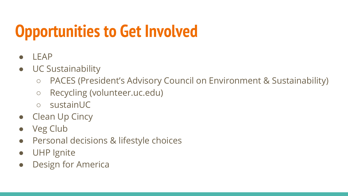# **Opportunities to Get Involved**

- LEAP
- UC Sustainability
	- PACES (President's Advisory Council on Environment & Sustainability)
	- Recycling (volunteer.uc.edu)
	- sustainUC
- Clean Up Cincy
- Veg Club
- Personal decisions & lifestyle choices
- UHP Ignite
- Design for America